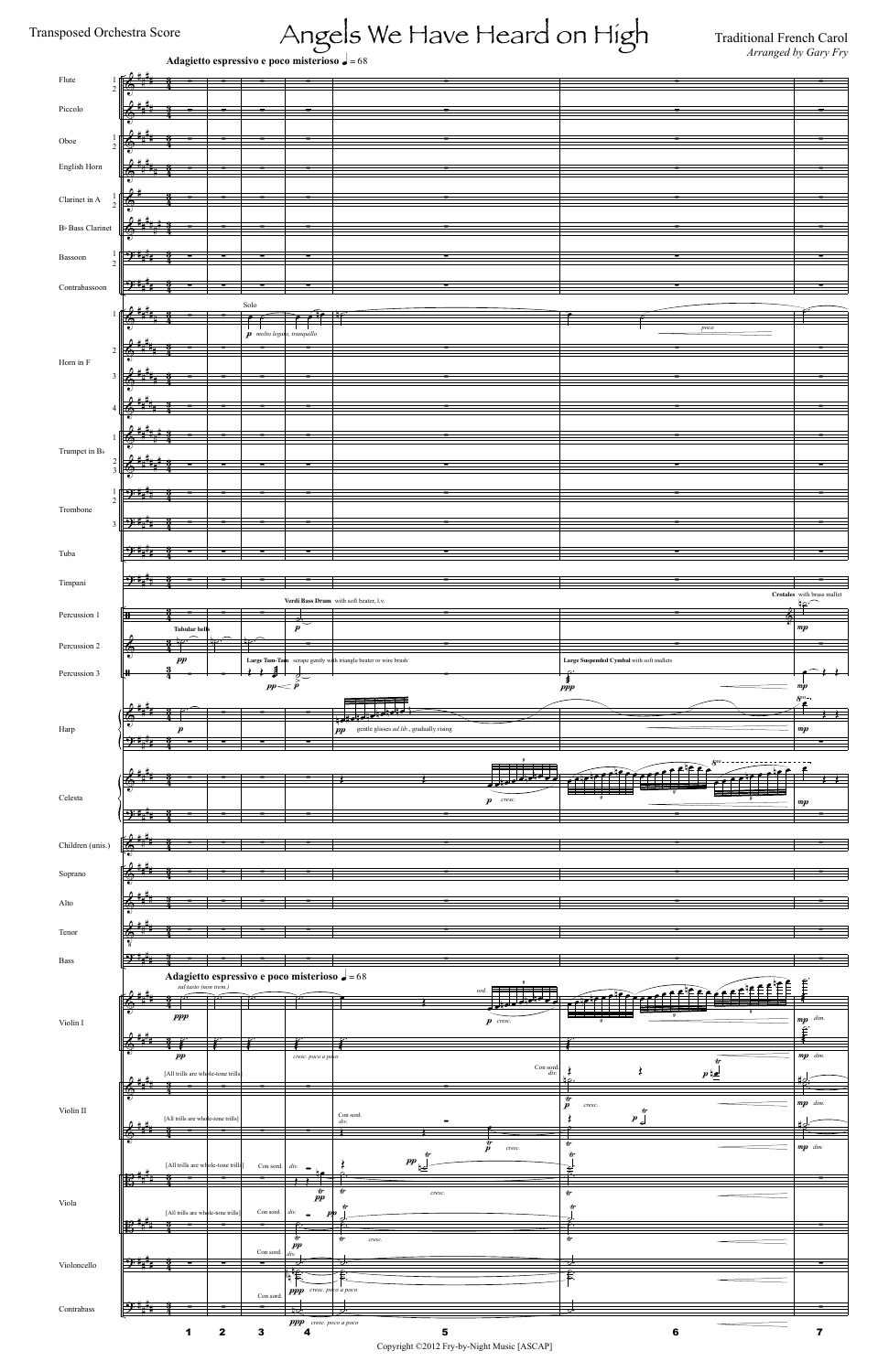# Angels We Have Heard on High Adagietto espressivo e poco misterioso  $\bullet$  = 68

| Flute                                                 |                |                       |                                           |                                                       |                                                                |                                           |                                                                    |                 |                                      |
|-------------------------------------------------------|----------------|-----------------------|-------------------------------------------|-------------------------------------------------------|----------------------------------------------------------------|-------------------------------------------|--------------------------------------------------------------------|-----------------|--------------------------------------|
| Piccolo                                               |                |                       |                                           |                                                       |                                                                |                                           |                                                                    |                 |                                      |
|                                                       |                |                       |                                           |                                                       |                                                                |                                           |                                                                    |                 |                                      |
| $\rm Oboe$<br>$\overline{2}$                          |                |                       |                                           |                                                       |                                                                |                                           |                                                                    |                 |                                      |
| English Horn                                          |                |                       |                                           |                                                       |                                                                |                                           |                                                                    |                 |                                      |
| Clarinet in ${\bf A}$                                 |                |                       |                                           |                                                       |                                                                |                                           |                                                                    |                 |                                      |
| $\mathcal{P}$                                         |                |                       |                                           |                                                       |                                                                |                                           |                                                                    |                 |                                      |
| $\rm B\ensuremath{\flat}$ Bass Clarinet               |                |                       |                                           |                                                       |                                                                |                                           |                                                                    |                 |                                      |
| -1<br>Bassoon<br>$\mathcal{P}$                        |                |                       |                                           |                                                       |                                                                |                                           |                                                                    |                 |                                      |
| $\label{1.1}$ Contrabassoon                           |                |                       |                                           |                                                       |                                                                |                                           |                                                                    |                 |                                      |
|                                                       |                |                       | $\operatorname{Solo}$                     |                                                       |                                                                |                                           |                                                                    |                 |                                      |
|                                                       |                |                       | $\boldsymbol{p}$ molto legato, tranquillo |                                                       |                                                                |                                           |                                                                    | $poco$          |                                      |
| $\overline{2}$                                        |                |                       |                                           |                                                       |                                                                |                                           |                                                                    |                 |                                      |
| Horn in F<br>3                                        |                |                       |                                           |                                                       |                                                                |                                           |                                                                    |                 |                                      |
|                                                       |                |                       |                                           |                                                       |                                                                |                                           |                                                                    |                 |                                      |
| $\overline{4}$                                        |                |                       |                                           |                                                       |                                                                |                                           |                                                                    |                 |                                      |
|                                                       |                |                       |                                           |                                                       |                                                                |                                           |                                                                    |                 |                                      |
| Trumpet in $\rm B\ensuremath{\flat}$<br>$\frac{2}{3}$ |                |                       |                                           |                                                       |                                                                |                                           |                                                                    |                 |                                      |
| 1                                                     |                |                       |                                           |                                                       |                                                                |                                           |                                                                    |                 |                                      |
| $\mathcal{D}$<br>Trombone                             |                |                       |                                           |                                                       |                                                                |                                           |                                                                    |                 |                                      |
| $\mathbf{3}$                                          |                |                       |                                           |                                                       |                                                                |                                           |                                                                    |                 |                                      |
| Tuba                                                  |                |                       |                                           |                                                       |                                                                |                                           |                                                                    |                 |                                      |
| Timpani                                               | $\rightarrow$  |                       |                                           |                                                       |                                                                |                                           |                                                                    |                 |                                      |
|                                                       |                |                       |                                           |                                                       | Verdi Bass Drum with soft beater, l.v.                         |                                           |                                                                    |                 | Crotales with brass mallet<br>$he^-$ |
| Percussion 1                                          | 旺              |                       |                                           | $\boldsymbol{p}$                                      |                                                                |                                           |                                                                    |                 | $\it mp$                             |
| Percussion 2                                          | Ф              | <b>Tubular bells</b>  |                                           |                                                       |                                                                |                                           |                                                                    |                 |                                      |
| Percussion 3                                          | ∙              | $\boldsymbol{pp}$     |                                           |                                                       | Large Tam-Tam scrape gently with triangle beater or wire brush |                                           | $\bf{Large~Suspended~Cymbal}$ with soft mallets                    |                 |                                      |
|                                                       | H٠             |                       | 7<br>pp < p                               | ट्र                                                   |                                                                |                                           | $\frac{1}{\text{ppp}}$                                             |                 | $\mathbf{m}$                         |
|                                                       |                |                       |                                           |                                                       |                                                                |                                           |                                                                    |                 | $\frac{8^{va-1}}{2}$                 |
| Harp                                                  |                | $\boldsymbol{p}$      |                                           |                                                       | H<br>pp<br>gentle glisses <i>ad lib.</i> , gradually rising    |                                           |                                                                    |                 | $\it mp$                             |
|                                                       | <u> •): 1</u>  |                       |                                           |                                                       |                                                                |                                           |                                                                    | 8 <sup>va</sup> |                                      |
|                                                       |                |                       |                                           |                                                       |                                                                | $\frac{1}{2}$<br>$\overline{\phantom{a}}$ | العامر                                                             | 12 e            |                                      |
| Celesta                                               |                |                       |                                           |                                                       |                                                                | $p$ cresc.                                |                                                                    |                 | $\sqrt{m}p$                          |
|                                                       | $\Theta$ : 1,  |                       |                                           |                                                       |                                                                |                                           |                                                                    |                 |                                      |
| Children (unis.)                                      |                |                       |                                           |                                                       |                                                                |                                           |                                                                    |                 |                                      |
| Soprano                                               |                |                       |                                           |                                                       |                                                                |                                           |                                                                    |                 |                                      |
|                                                       |                |                       |                                           |                                                       |                                                                |                                           |                                                                    |                 |                                      |
| Alto                                                  |                |                       |                                           |                                                       |                                                                |                                           |                                                                    |                 |                                      |
| Tenor                                                 | to,            |                       |                                           |                                                       |                                                                |                                           |                                                                    |                 |                                      |
| Bass                                                  | <del>9 M</del> |                       |                                           |                                                       |                                                                |                                           |                                                                    |                 |                                      |
|                                                       |                | sul tasto (non trem.) |                                           | Adagietto espressivo e poco misterioso $\bullet$ = 68 |                                                                |                                           |                                                                    | PAPPEREE E      |                                      |
|                                                       |                |                       |                                           |                                                       |                                                                | ord.                                      | <del>electronic</del><br>$\frac{1}{2}$<br>$\overline{\phantom{a}}$ | !⊵ ∠            |                                      |



Copyright ©2012 Fry-by-Night Music [ASCAP]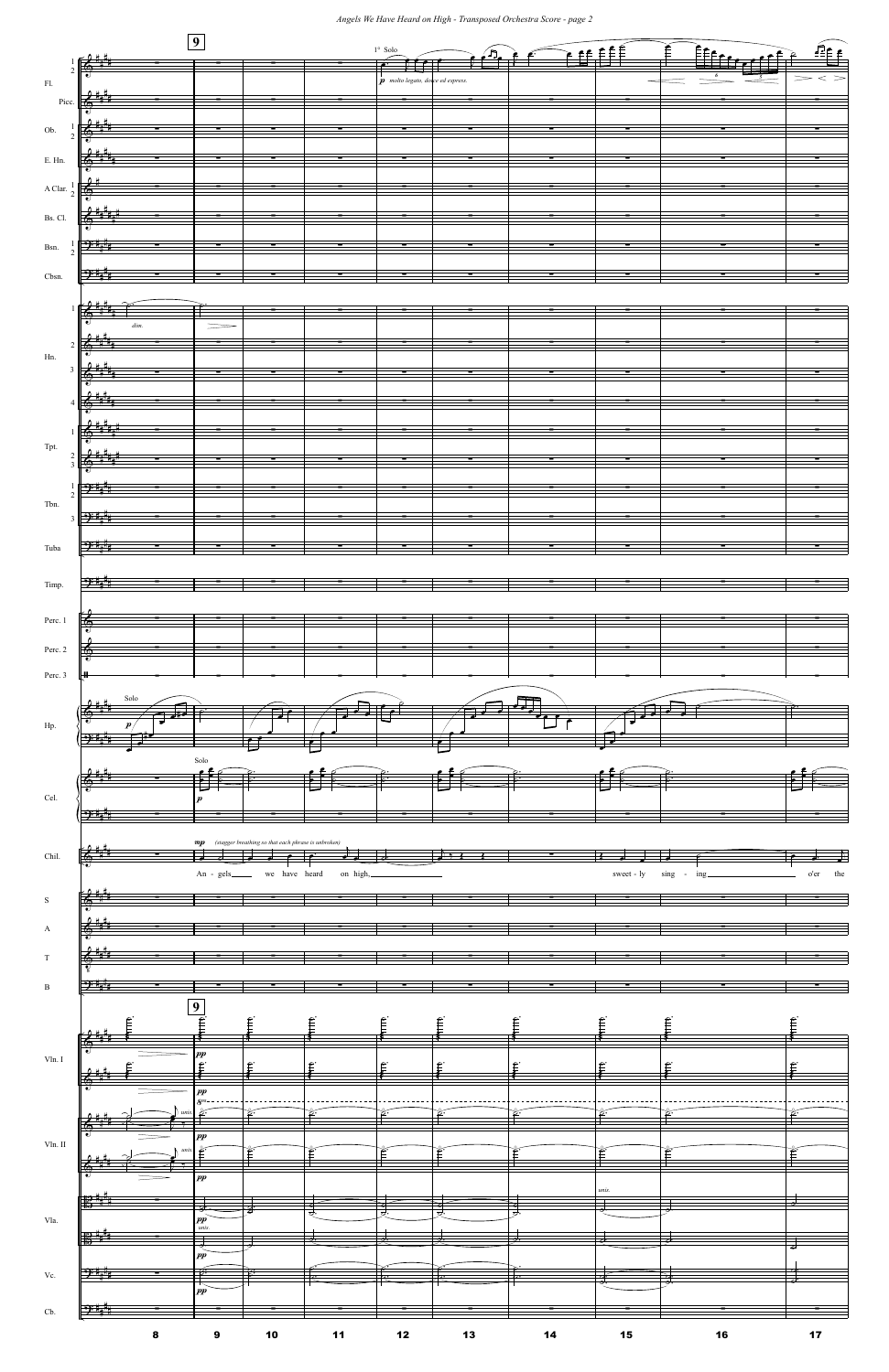Angels We Have Heard on High - Transposed Orchestra Score - page 2

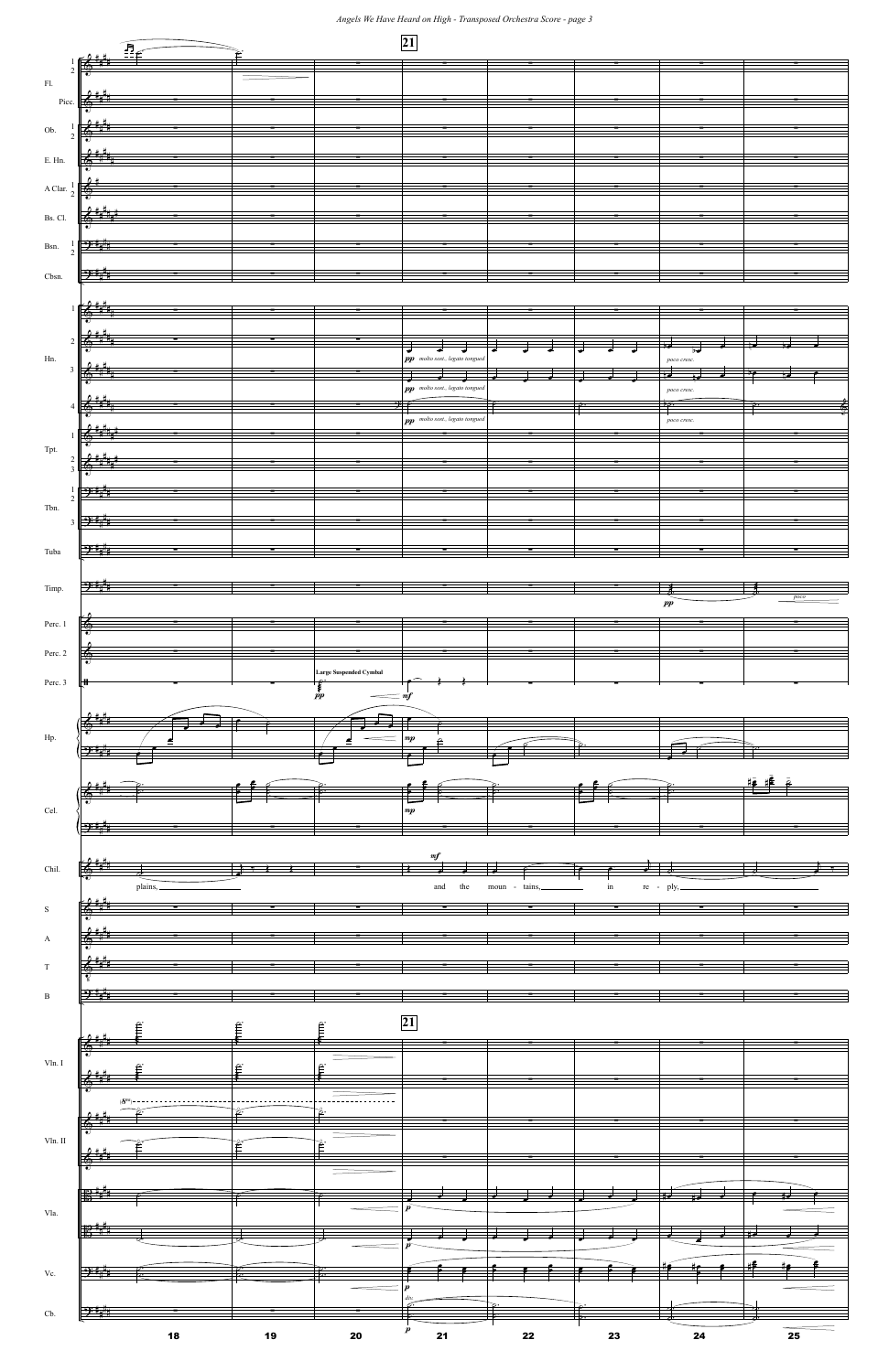Angels We Have Heard on High - Transposed Orchestra Score - page 3

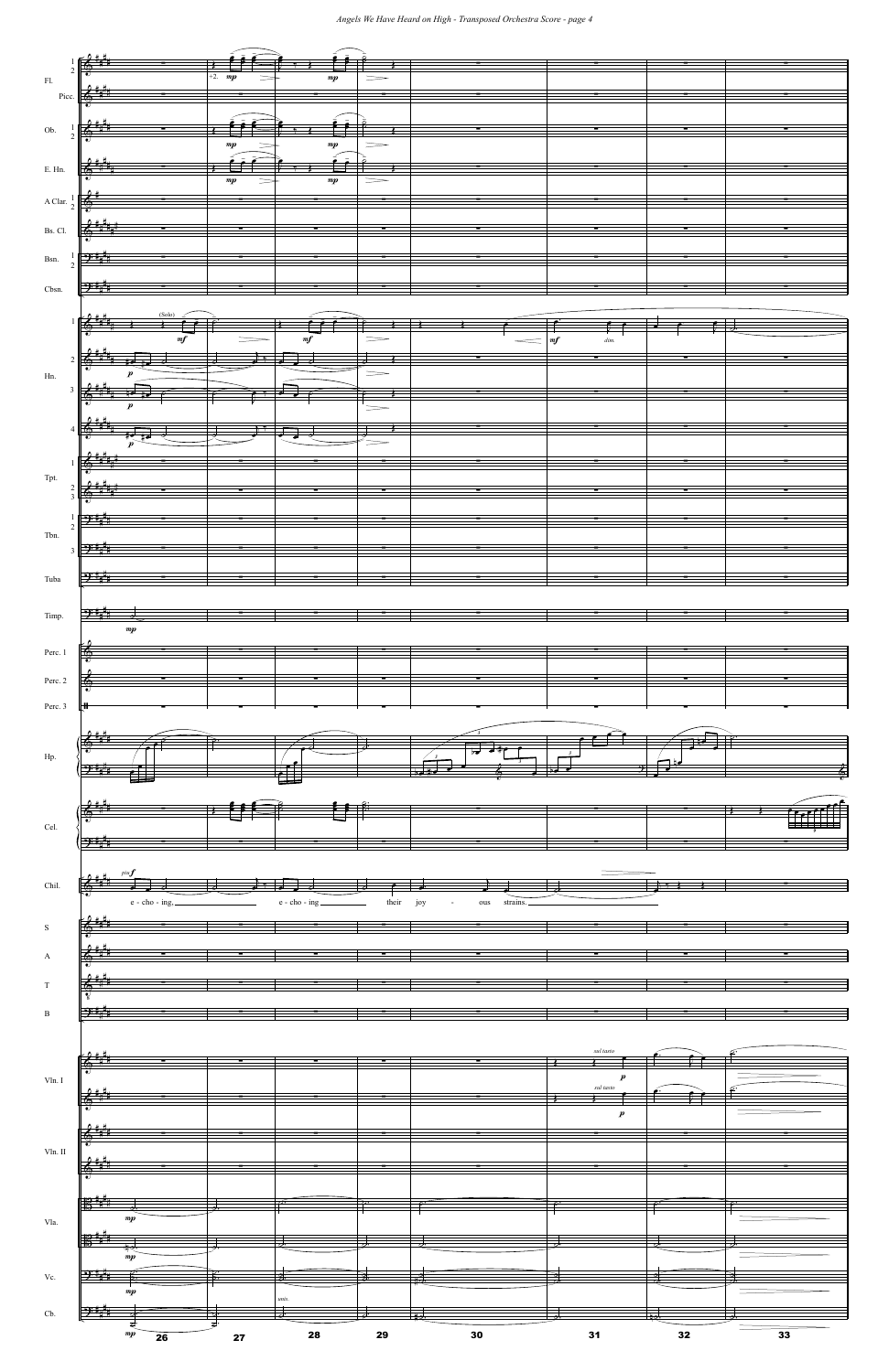|                                  | $\frac{1}{2}$ $\frac{2}{2}$ $\frac{4}{2}$ |                 |    |                                                                                                                                                                                                                                                                                                                                                                                                |       |     |                 |  |  |
|----------------------------------|-------------------------------------------|-----------------|----|------------------------------------------------------------------------------------------------------------------------------------------------------------------------------------------------------------------------------------------------------------------------------------------------------------------------------------------------------------------------------------------------|-------|-----|-----------------|--|--|
|                                  |                                           |                 |    |                                                                                                                                                                                                                                                                                                                                                                                                |       |     |                 |  |  |
| F1.                              | Pice.                                     |                 |    |                                                                                                                                                                                                                                                                                                                                                                                                |       |     |                 |  |  |
|                                  |                                           |                 |    |                                                                                                                                                                                                                                                                                                                                                                                                |       |     |                 |  |  |
|                                  |                                           |                 |    |                                                                                                                                                                                                                                                                                                                                                                                                |       |     |                 |  |  |
|                                  |                                           |                 |    | Ob. $\frac{1}{2}$ $\frac{2}{3}$ $\frac{4}{3}$ $\frac{4}{3}$ $\frac{4}{3}$ $\frac{4}{3}$ $\frac{4}{3}$ $\frac{4}{3}$ $\frac{4}{3}$ $\frac{4}{3}$ $\frac{4}{3}$ $\frac{4}{3}$ $\frac{4}{3}$ $\frac{4}{3}$ $\frac{4}{3}$ $\frac{4}{3}$ $\frac{4}{3}$ $\frac{4}{3}$ $\frac{4}{3}$                                                                                                                  |       |     |                 |  |  |
|                                  |                                           |                 |    |                                                                                                                                                                                                                                                                                                                                                                                                |       |     |                 |  |  |
|                                  |                                           |                 | mp |                                                                                                                                                                                                                                                                                                                                                                                                |       |     |                 |  |  |
|                                  |                                           |                 |    |                                                                                                                                                                                                                                                                                                                                                                                                |       |     |                 |  |  |
|                                  |                                           |                 |    | E. Hn. $\frac{2}{3} + \frac{1}{3} + \frac{1}{3} + \frac{1}{3} + \frac{1}{3} + \frac{1}{3} + \frac{1}{3} + \frac{1}{3} + \frac{1}{3} + \frac{1}{3} + \frac{1}{3} + \frac{1}{3} + \frac{1}{3} + \frac{1}{3} + \frac{1}{3} + \frac{1}{3} + \frac{1}{3} + \frac{1}{3} + \frac{1}{3} + \frac{1}{3} + \frac{1}{3} + \frac{1}{3} + \frac{1}{3} + \frac{1}{3} + \frac{1}{3} + \frac{1}{3} + \frac{1}{$ |       |     |                 |  |  |
|                                  |                                           |                 |    |                                                                                                                                                                                                                                                                                                                                                                                                |       |     |                 |  |  |
|                                  |                                           |                 |    | A Clar. $\frac{1}{2}$ $\frac{2}{3}$ $\frac{4}{3}$                                                                                                                                                                                                                                                                                                                                              |       |     |                 |  |  |
|                                  |                                           |                 |    |                                                                                                                                                                                                                                                                                                                                                                                                |       |     |                 |  |  |
|                                  |                                           |                 |    |                                                                                                                                                                                                                                                                                                                                                                                                |       |     |                 |  |  |
|                                  |                                           |                 |    | Bs. Cl. $\frac{2}{\sqrt{6}} + \frac{1}{2} + \frac{1}{2} + \frac{1}{2} + \frac{1}{2} + \frac{1}{2} + \frac{1}{2} + \frac{1}{2} + \frac{1}{2} + \frac{1}{2} + \frac{1}{2} + \frac{1}{2} + \frac{1}{2} + \frac{1}{2} + \frac{1}{2} + \frac{1}{2} + \frac{1}{2} + \frac{1}{2} + \frac{1}{2} + \frac{1}{2} + \frac{1}{2} + \frac{1}{2} + \frac{1}{2} + \frac{1}{2} + \frac{1}{2} + \frac{1}{2} + \$ |       |     |                 |  |  |
|                                  |                                           |                 |    |                                                                                                                                                                                                                                                                                                                                                                                                |       |     |                 |  |  |
| Bsn. $\frac{1}{2}$ $\frac{1}{2}$ |                                           |                 |    |                                                                                                                                                                                                                                                                                                                                                                                                |       |     |                 |  |  |
|                                  |                                           |                 |    |                                                                                                                                                                                                                                                                                                                                                                                                |       |     |                 |  |  |
|                                  | $\mathbb{P}$                              |                 |    |                                                                                                                                                                                                                                                                                                                                                                                                |       |     |                 |  |  |
| Cbsn.                            |                                           |                 |    |                                                                                                                                                                                                                                                                                                                                                                                                |       |     |                 |  |  |
|                                  |                                           |                 |    |                                                                                                                                                                                                                                                                                                                                                                                                |       |     |                 |  |  |
|                                  |                                           |                 |    |                                                                                                                                                                                                                                                                                                                                                                                                |       |     |                 |  |  |
|                                  | $\frac{1}{2}$                             |                 |    |                                                                                                                                                                                                                                                                                                                                                                                                |       |     |                 |  |  |
|                                  |                                           |                 |    |                                                                                                                                                                                                                                                                                                                                                                                                |       |     |                 |  |  |
|                                  |                                           |                 |    |                                                                                                                                                                                                                                                                                                                                                                                                |       |     |                 |  |  |
|                                  |                                           |                 |    |                                                                                                                                                                                                                                                                                                                                                                                                |       |     |                 |  |  |
| Hn.                              |                                           |                 |    |                                                                                                                                                                                                                                                                                                                                                                                                |       |     |                 |  |  |
|                                  |                                           |                 |    |                                                                                                                                                                                                                                                                                                                                                                                                |       |     |                 |  |  |
|                                  |                                           |                 |    | $\frac{1}{\sqrt{\frac{1}{n}+\frac{1}{n}+\frac{1}{n}+\cdots+\frac{1}{n}}}\frac{1}{p}$                                                                                                                                                                                                                                                                                                           |       |     |                 |  |  |
|                                  |                                           |                 |    |                                                                                                                                                                                                                                                                                                                                                                                                |       |     |                 |  |  |
|                                  | $4\sqrt{\frac{2\frac{11}{10}}{2}}$        |                 |    |                                                                                                                                                                                                                                                                                                                                                                                                |       |     |                 |  |  |
|                                  |                                           |                 |    | $\frac{1}{2}$                                                                                                                                                                                                                                                                                                                                                                                  |       |     |                 |  |  |
|                                  |                                           |                 |    |                                                                                                                                                                                                                                                                                                                                                                                                |       |     |                 |  |  |
|                                  |                                           |                 |    |                                                                                                                                                                                                                                                                                                                                                                                                |       |     |                 |  |  |
|                                  |                                           |                 |    |                                                                                                                                                                                                                                                                                                                                                                                                |       |     |                 |  |  |
| Tpt.                             |                                           |                 |    |                                                                                                                                                                                                                                                                                                                                                                                                |       |     |                 |  |  |
|                                  | $\frac{2}{3}$ $\frac{2}{3}$ $\frac{4}{3}$ |                 |    |                                                                                                                                                                                                                                                                                                                                                                                                |       |     |                 |  |  |
|                                  |                                           |                 |    |                                                                                                                                                                                                                                                                                                                                                                                                |       |     |                 |  |  |
|                                  |                                           |                 |    |                                                                                                                                                                                                                                                                                                                                                                                                |       |     |                 |  |  |
|                                  |                                           |                 |    |                                                                                                                                                                                                                                                                                                                                                                                                |       |     |                 |  |  |
| Tbn.                             |                                           |                 |    |                                                                                                                                                                                                                                                                                                                                                                                                |       |     |                 |  |  |
|                                  | $3 \mathbb{E}$                            |                 |    |                                                                                                                                                                                                                                                                                                                                                                                                |       |     |                 |  |  |
|                                  |                                           |                 |    |                                                                                                                                                                                                                                                                                                                                                                                                |       |     |                 |  |  |
| Tuba                             |                                           |                 |    |                                                                                                                                                                                                                                                                                                                                                                                                |       |     |                 |  |  |
|                                  |                                           |                 |    |                                                                                                                                                                                                                                                                                                                                                                                                |       |     |                 |  |  |
|                                  |                                           |                 |    |                                                                                                                                                                                                                                                                                                                                                                                                |       |     |                 |  |  |
| Timp.                            |                                           |                 |    |                                                                                                                                                                                                                                                                                                                                                                                                |       |     |                 |  |  |
|                                  |                                           | $\mathfrak{m}p$ |    |                                                                                                                                                                                                                                                                                                                                                                                                |       |     |                 |  |  |
|                                  |                                           |                 |    |                                                                                                                                                                                                                                                                                                                                                                                                |       |     |                 |  |  |
| Perc. 1                          |                                           |                 |    |                                                                                                                                                                                                                                                                                                                                                                                                |       |     |                 |  |  |
|                                  |                                           |                 |    |                                                                                                                                                                                                                                                                                                                                                                                                |       |     |                 |  |  |
|                                  |                                           |                 |    |                                                                                                                                                                                                                                                                                                                                                                                                |       |     |                 |  |  |
| Perc. 2                          |                                           |                 |    |                                                                                                                                                                                                                                                                                                                                                                                                |       |     |                 |  |  |
|                                  |                                           |                 |    |                                                                                                                                                                                                                                                                                                                                                                                                |       |     |                 |  |  |
| Perc. 3                          |                                           |                 |    |                                                                                                                                                                                                                                                                                                                                                                                                |       |     |                 |  |  |
|                                  |                                           |                 |    |                                                                                                                                                                                                                                                                                                                                                                                                |       |     |                 |  |  |
|                                  |                                           |                 |    |                                                                                                                                                                                                                                                                                                                                                                                                |       |     |                 |  |  |
|                                  |                                           |                 |    |                                                                                                                                                                                                                                                                                                                                                                                                |       |     |                 |  |  |
| Hp.                              |                                           |                 |    |                                                                                                                                                                                                                                                                                                                                                                                                |       |     |                 |  |  |
|                                  |                                           |                 |    |                                                                                                                                                                                                                                                                                                                                                                                                |       |     |                 |  |  |
|                                  |                                           |                 |    |                                                                                                                                                                                                                                                                                                                                                                                                |       |     |                 |  |  |
|                                  |                                           |                 |    |                                                                                                                                                                                                                                                                                                                                                                                                |       |     |                 |  |  |
|                                  |                                           |                 |    |                                                                                                                                                                                                                                                                                                                                                                                                |       |     |                 |  |  |
|                                  |                                           |                 |    |                                                                                                                                                                                                                                                                                                                                                                                                |       |     |                 |  |  |
| Cel.                             |                                           |                 |    |                                                                                                                                                                                                                                                                                                                                                                                                |       |     |                 |  |  |
|                                  |                                           |                 |    |                                                                                                                                                                                                                                                                                                                                                                                                |       |     |                 |  |  |
|                                  |                                           |                 |    |                                                                                                                                                                                                                                                                                                                                                                                                |       |     |                 |  |  |
|                                  |                                           |                 |    |                                                                                                                                                                                                                                                                                                                                                                                                |       |     |                 |  |  |
|                                  |                                           |                 |    |                                                                                                                                                                                                                                                                                                                                                                                                |       |     |                 |  |  |
| Chil.                            |                                           |                 |    |                                                                                                                                                                                                                                                                                                                                                                                                |       |     |                 |  |  |
|                                  |                                           | e - cho - ing   |    |                                                                                                                                                                                                                                                                                                                                                                                                | their | joy | strains.<br>ous |  |  |
|                                  |                                           |                 |    |                                                                                                                                                                                                                                                                                                                                                                                                |       |     |                 |  |  |
| $\mathbf S$                      |                                           |                 |    |                                                                                                                                                                                                                                                                                                                                                                                                |       |     |                 |  |  |
|                                  |                                           |                 |    |                                                                                                                                                                                                                                                                                                                                                                                                |       |     |                 |  |  |
|                                  |                                           |                 |    |                                                                                                                                                                                                                                                                                                                                                                                                |       |     |                 |  |  |
| A                                |                                           |                 |    |                                                                                                                                                                                                                                                                                                                                                                                                |       |     |                 |  |  |
|                                  |                                           |                 |    |                                                                                                                                                                                                                                                                                                                                                                                                |       |     |                 |  |  |
|                                  |                                           |                 |    |                                                                                                                                                                                                                                                                                                                                                                                                |       |     |                 |  |  |
|                                  |                                           |                 |    |                                                                                                                                                                                                                                                                                                                                                                                                |       |     |                 |  |  |

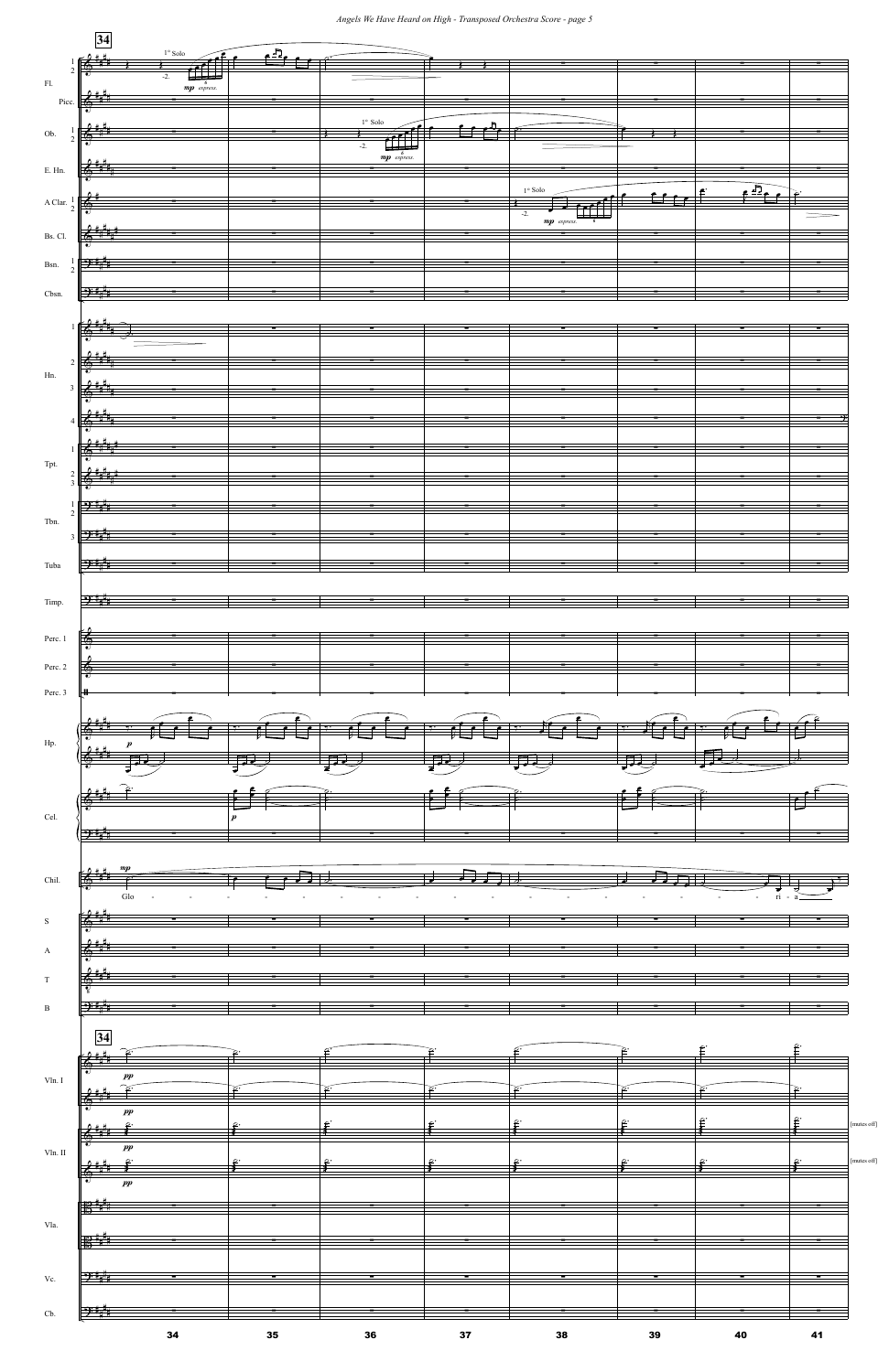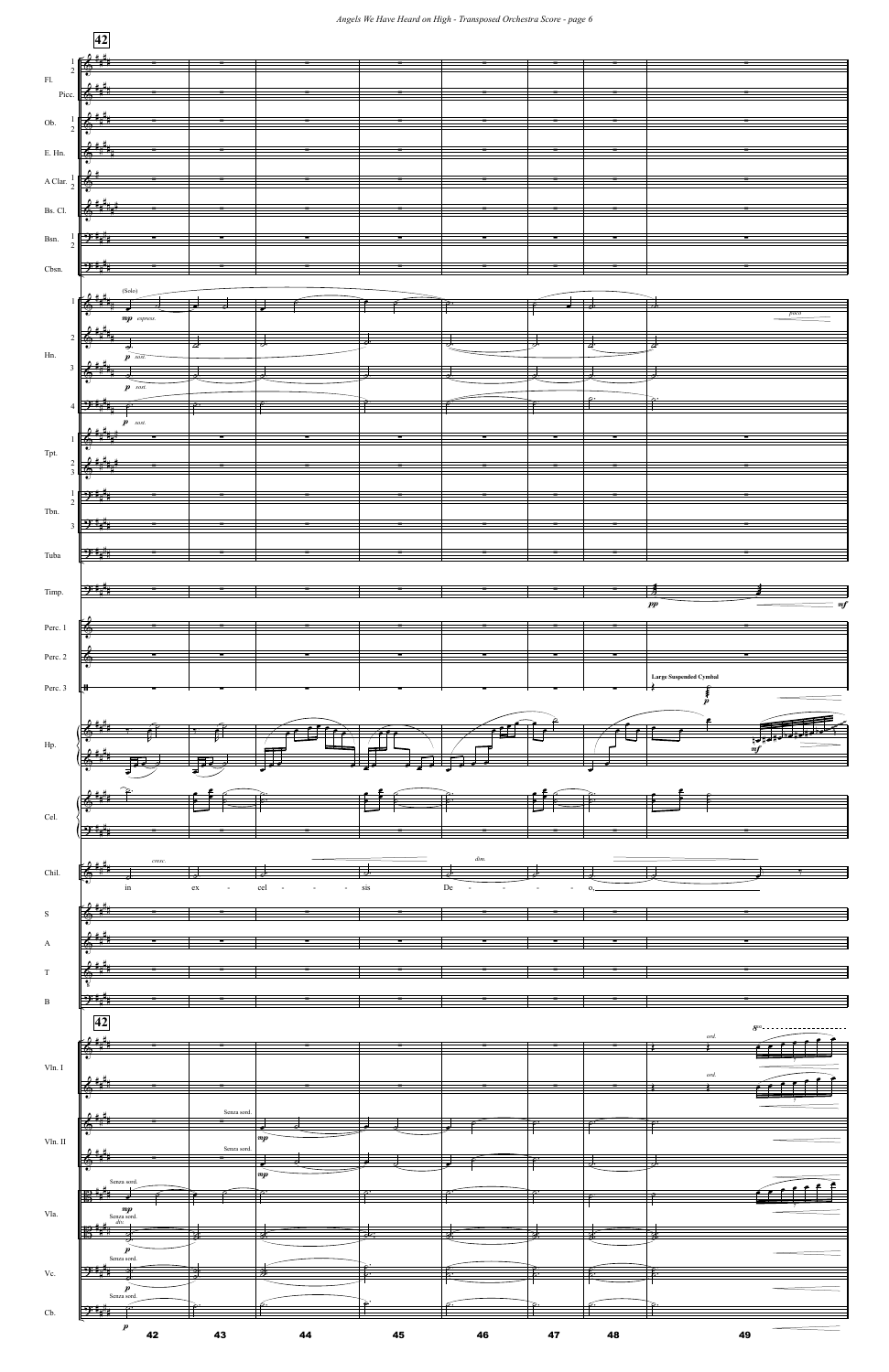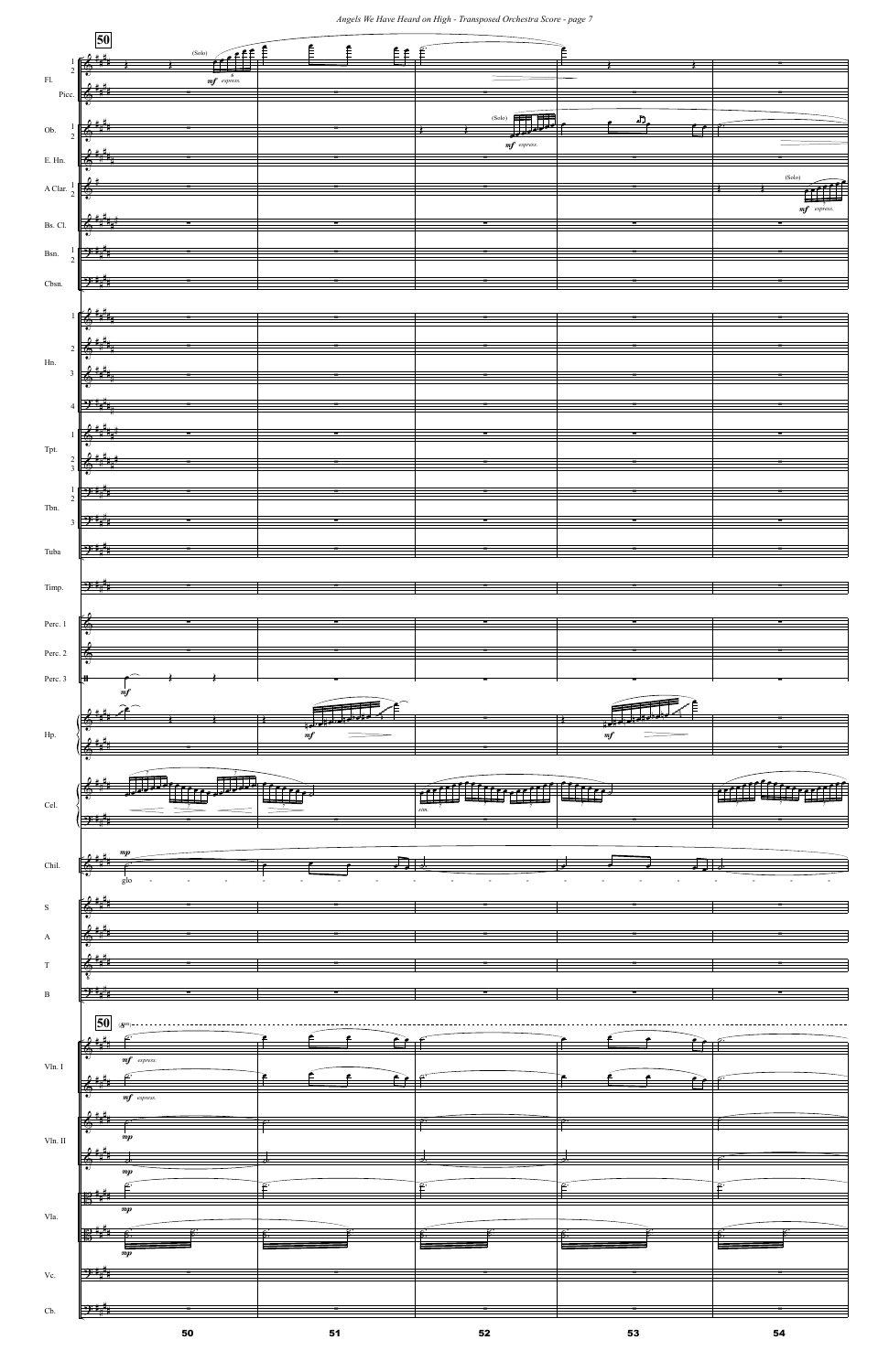|                            | 50                                                                                                                   |                                                                                                                                                                                                                                                                                                                                                                    | Ê. |                |                                                                                                                                                                                                                                                                                                                                                                                                                          |  |                      |
|----------------------------|----------------------------------------------------------------------------------------------------------------------|--------------------------------------------------------------------------------------------------------------------------------------------------------------------------------------------------------------------------------------------------------------------------------------------------------------------------------------------------------------------|----|----------------|--------------------------------------------------------------------------------------------------------------------------------------------------------------------------------------------------------------------------------------------------------------------------------------------------------------------------------------------------------------------------------------------------------------------------|--|----------------------|
| $\mathop{\rm Fl}\nolimits$ |                                                                                                                      | $m f$ espress.                                                                                                                                                                                                                                                                                                                                                     |    |                |                                                                                                                                                                                                                                                                                                                                                                                                                          |  |                      |
| Picc.                      |                                                                                                                      |                                                                                                                                                                                                                                                                                                                                                                    |    |                |                                                                                                                                                                                                                                                                                                                                                                                                                          |  |                      |
|                            |                                                                                                                      |                                                                                                                                                                                                                                                                                                                                                                    |    | (Solo)         |                                                                                                                                                                                                                                                                                                                                                                                                                          |  |                      |
| Ob.                        |                                                                                                                      |                                                                                                                                                                                                                                                                                                                                                                    |    | $m f$ espress. |                                                                                                                                                                                                                                                                                                                                                                                                                          |  |                      |
| E. Hn.                     |                                                                                                                      |                                                                                                                                                                                                                                                                                                                                                                    |    |                |                                                                                                                                                                                                                                                                                                                                                                                                                          |  |                      |
| A Clar. $\frac{1}{2}$      |                                                                                                                      |                                                                                                                                                                                                                                                                                                                                                                    |    |                |                                                                                                                                                                                                                                                                                                                                                                                                                          |  | (Solo)               |
|                            |                                                                                                                      |                                                                                                                                                                                                                                                                                                                                                                    |    |                |                                                                                                                                                                                                                                                                                                                                                                                                                          |  | $\it mf$<br>espress. |
| Bs. Cl.                    |                                                                                                                      |                                                                                                                                                                                                                                                                                                                                                                    |    |                |                                                                                                                                                                                                                                                                                                                                                                                                                          |  |                      |
| Bsn.                       |                                                                                                                      |                                                                                                                                                                                                                                                                                                                                                                    |    |                |                                                                                                                                                                                                                                                                                                                                                                                                                          |  |                      |
| Cbsn.                      | D÷                                                                                                                   |                                                                                                                                                                                                                                                                                                                                                                    |    |                |                                                                                                                                                                                                                                                                                                                                                                                                                          |  |                      |
|                            |                                                                                                                      |                                                                                                                                                                                                                                                                                                                                                                    |    |                |                                                                                                                                                                                                                                                                                                                                                                                                                          |  |                      |
|                            |                                                                                                                      |                                                                                                                                                                                                                                                                                                                                                                    |    |                |                                                                                                                                                                                                                                                                                                                                                                                                                          |  |                      |
| $\overline{2}$             |                                                                                                                      |                                                                                                                                                                                                                                                                                                                                                                    |    |                |                                                                                                                                                                                                                                                                                                                                                                                                                          |  |                      |
| Hn.<br>3                   |                                                                                                                      |                                                                                                                                                                                                                                                                                                                                                                    |    |                |                                                                                                                                                                                                                                                                                                                                                                                                                          |  |                      |
|                            |                                                                                                                      |                                                                                                                                                                                                                                                                                                                                                                    |    |                |                                                                                                                                                                                                                                                                                                                                                                                                                          |  |                      |
|                            |                                                                                                                      |                                                                                                                                                                                                                                                                                                                                                                    |    |                |                                                                                                                                                                                                                                                                                                                                                                                                                          |  |                      |
| Tpt.                       |                                                                                                                      |                                                                                                                                                                                                                                                                                                                                                                    |    |                |                                                                                                                                                                                                                                                                                                                                                                                                                          |  |                      |
| $\overline{c}$             |                                                                                                                      |                                                                                                                                                                                                                                                                                                                                                                    |    |                |                                                                                                                                                                                                                                                                                                                                                                                                                          |  |                      |
|                            |                                                                                                                      |                                                                                                                                                                                                                                                                                                                                                                    |    |                |                                                                                                                                                                                                                                                                                                                                                                                                                          |  |                      |
| Tbn.<br>3 <sup>1</sup>     | $\rightarrow$                                                                                                        |                                                                                                                                                                                                                                                                                                                                                                    |    |                |                                                                                                                                                                                                                                                                                                                                                                                                                          |  |                      |
|                            |                                                                                                                      |                                                                                                                                                                                                                                                                                                                                                                    |    |                |                                                                                                                                                                                                                                                                                                                                                                                                                          |  |                      |
| Tuba                       |                                                                                                                      |                                                                                                                                                                                                                                                                                                                                                                    |    |                |                                                                                                                                                                                                                                                                                                                                                                                                                          |  |                      |
| Timp.                      | 24                                                                                                                   |                                                                                                                                                                                                                                                                                                                                                                    |    |                |                                                                                                                                                                                                                                                                                                                                                                                                                          |  |                      |
|                            |                                                                                                                      |                                                                                                                                                                                                                                                                                                                                                                    |    |                |                                                                                                                                                                                                                                                                                                                                                                                                                          |  |                      |
| Perc. 1                    |                                                                                                                      |                                                                                                                                                                                                                                                                                                                                                                    |    |                |                                                                                                                                                                                                                                                                                                                                                                                                                          |  |                      |
| Perc. 2                    | 传                                                                                                                    |                                                                                                                                                                                                                                                                                                                                                                    |    |                |                                                                                                                                                                                                                                                                                                                                                                                                                          |  |                      |
| Perc. 3                    | $\begin{array}{c c}\n\hline\n\text{mf}\n\end{array}$<br>┡╙                                                           |                                                                                                                                                                                                                                                                                                                                                                    |    |                |                                                                                                                                                                                                                                                                                                                                                                                                                          |  |                      |
|                            |                                                                                                                      |                                                                                                                                                                                                                                                                                                                                                                    |    |                |                                                                                                                                                                                                                                                                                                                                                                                                                          |  |                      |
| Hp.                        | $\frac{2+1}{2}$                                                                                                      | $\begin{picture}(180,10) \put(0,0){\vector(1,0){100}} \put(10,0){\vector(1,0){100}} \put(10,0){\vector(1,0){100}} \put(10,0){\vector(1,0){100}} \put(10,0){\vector(1,0){100}} \put(10,0){\vector(1,0){100}} \put(10,0){\vector(1,0){100}} \put(10,0){\vector(1,0){100}} \put(10,0){\vector(1,0){100}} \put(10,0){\vector(1,0){100}} \put(10,0){\vector(1,0){100}}$ |    |                | $\begin{array}{c c c c c} \hline \textbf{1} & \textbf{1} & \textbf{1} & \textbf{1} & \textbf{1} & \textbf{1} & \textbf{1} & \textbf{1} & \textbf{1} & \textbf{1} & \textbf{1} & \textbf{1} & \textbf{1} & \textbf{1} & \textbf{1} & \textbf{1} & \textbf{1} & \textbf{1} & \textbf{1} & \textbf{1} & \textbf{1} & \textbf{1} & \textbf{1} & \textbf{1} & \textbf{1} & \textbf{1} & \textbf{1} & \textbf{1} & \textbf{1}$ |  |                      |
|                            |                                                                                                                      |                                                                                                                                                                                                                                                                                                                                                                    |    |                |                                                                                                                                                                                                                                                                                                                                                                                                                          |  |                      |
|                            |                                                                                                                      |                                                                                                                                                                                                                                                                                                                                                                    |    |                |                                                                                                                                                                                                                                                                                                                                                                                                                          |  |                      |
| Cel.                       | ∳                                                                                                                    |                                                                                                                                                                                                                                                                                                                                                                    |    |                |                                                                                                                                                                                                                                                                                                                                                                                                                          |  |                      |
|                            |                                                                                                                      |                                                                                                                                                                                                                                                                                                                                                                    |    |                |                                                                                                                                                                                                                                                                                                                                                                                                                          |  |                      |
|                            |                                                                                                                      |                                                                                                                                                                                                                                                                                                                                                                    |    |                |                                                                                                                                                                                                                                                                                                                                                                                                                          |  |                      |
| ${\rm Chili.}$             |                                                                                                                      |                                                                                                                                                                                                                                                                                                                                                                    |    |                |                                                                                                                                                                                                                                                                                                                                                                                                                          |  |                      |
|                            |                                                                                                                      |                                                                                                                                                                                                                                                                                                                                                                    |    |                |                                                                                                                                                                                                                                                                                                                                                                                                                          |  |                      |
| $\, {\bf S}$               |                                                                                                                      |                                                                                                                                                                                                                                                                                                                                                                    |    |                |                                                                                                                                                                                                                                                                                                                                                                                                                          |  |                      |
| $\boldsymbol{\mathsf{A}}$  | <u>a sa salawang pangangang pangangang pangangang pangangang pangangang pangangang pangangang pangangang pangang</u> |                                                                                                                                                                                                                                                                                                                                                                    |    |                |                                                                                                                                                                                                                                                                                                                                                                                                                          |  |                      |
| $\mathbf T$                |                                                                                                                      |                                                                                                                                                                                                                                                                                                                                                                    |    |                |                                                                                                                                                                                                                                                                                                                                                                                                                          |  |                      |
|                            |                                                                                                                      |                                                                                                                                                                                                                                                                                                                                                                    |    |                |                                                                                                                                                                                                                                                                                                                                                                                                                          |  |                      |
|                            |                                                                                                                      |                                                                                                                                                                                                                                                                                                                                                                    |    |                |                                                                                                                                                                                                                                                                                                                                                                                                                          |  |                      |

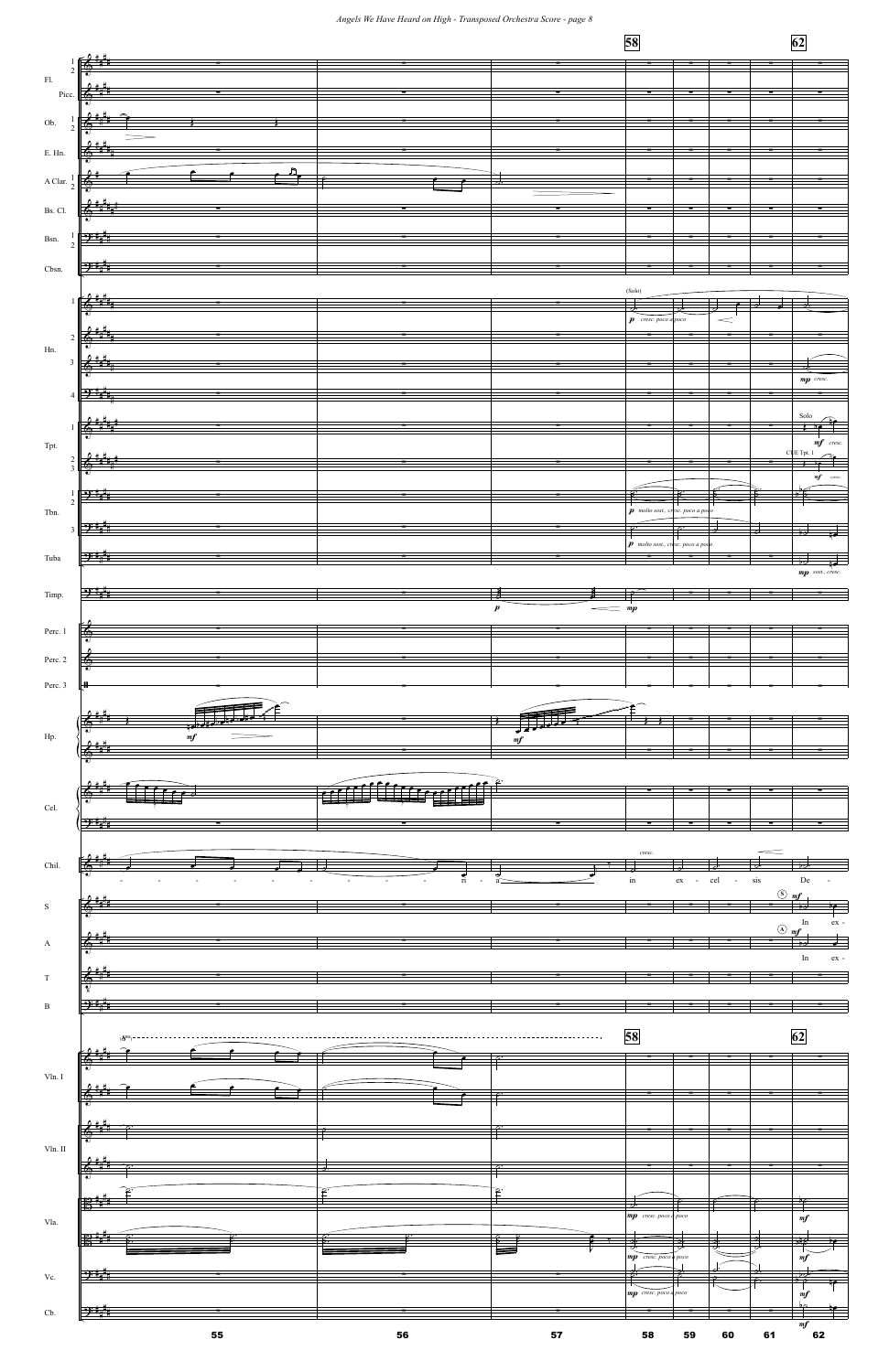|                           |                                 |                                             | 58                                                                       | 62                                |
|---------------------------|---------------------------------|---------------------------------------------|--------------------------------------------------------------------------|-----------------------------------|
| F1.                       |                                 |                                             |                                                                          |                                   |
| Picc.                     |                                 |                                             |                                                                          |                                   |
| $\mbox{Ob.}$              |                                 |                                             |                                                                          |                                   |
| $E.$ Hn.                  |                                 |                                             |                                                                          |                                   |
| A Clar.                   |                                 |                                             |                                                                          |                                   |
| Bs. Cl.                   |                                 |                                             |                                                                          |                                   |
|                           |                                 |                                             |                                                                          |                                   |
| $_{\rm Bsn.}$             |                                 |                                             |                                                                          |                                   |
| Cbsn.                     | $\rightarrow$ $\frac{1}{2}$     |                                             |                                                                          |                                   |
|                           | $\mathbb{Z}^+$                  |                                             | (Solo)                                                                   |                                   |
|                           | $\bullet$                       |                                             | $\boldsymbol{p}$ cresc. poco a poco<br>$\lt$                             |                                   |
| 2<br>Hn.                  |                                 |                                             |                                                                          |                                   |
| $\overline{3}$            |                                 |                                             |                                                                          | $mp$ cresc.                       |
| $\overline{4}$            | ⇒                               |                                             |                                                                          |                                   |
|                           |                                 |                                             |                                                                          | Solo                              |
| Tpt.<br>$\overline{c}$    |                                 |                                             |                                                                          | $m f$ cresc.<br>CUE Tpt. 1        |
| 3                         |                                 |                                             |                                                                          | $m f$ cresc.                      |
| 2                         | 9:1                             |                                             | £.<br>$\boldsymbol{p}$ molto sost., cresc. poco a poco                   |                                   |
| Tbn.<br>$\vert$ 3         |                                 |                                             |                                                                          |                                   |
|                           | $\rightarrow$                   |                                             | $\overline{\phantom{a}}$                                                 |                                   |
| Tuba                      | 9 ∓                             |                                             | $\boldsymbol{p}$ molto sost., cresc. poco a poco                         |                                   |
|                           |                                 |                                             |                                                                          | $mp$ sost., cresc.                |
| Timp.                     | $9 - 1$                         | $\equiv$ $\frac{1}{mp}$<br>$\boldsymbol{p}$ |                                                                          |                                   |
| Perc. 1                   |                                 |                                             |                                                                          |                                   |
|                           |                                 |                                             |                                                                          |                                   |
| Perc. 2<br>Perc. 3        | ╟╫                              |                                             |                                                                          |                                   |
|                           |                                 |                                             |                                                                          |                                   |
| Hp.                       | $\overline{\phantom{a}}$<br>m f | $\it mf$                                    |                                                                          |                                   |
|                           |                                 |                                             |                                                                          |                                   |
|                           |                                 | ρ.                                          |                                                                          |                                   |
| Cel.                      |                                 | 垂                                           |                                                                          |                                   |
|                           | $\mathbf{P}$                    |                                             |                                                                          |                                   |
| $_{\rm{Chil.}}$           |                                 |                                             | $\mathit{cres}c.$                                                        |                                   |
|                           |                                 | $\frac{5}{11}$                              | sis<br>$\operatorname{in}$<br>${\rm ex}$<br>cel<br>$\sim$<br>$\circledS$ | $\rm De$<br>$m\mathbf{f}$         |
| ${\bf S}$                 |                                 |                                             |                                                                          | $\frac{1}{e}$ -<br>$\rm{In}$      |
| $\mathbf A$               |                                 |                                             |                                                                          | $\overline{\circlearrowright}$ mf |
| $\ensuremath{\mathrm{T}}$ |                                 |                                             |                                                                          | $ex -$<br>$\operatorname{In}$     |

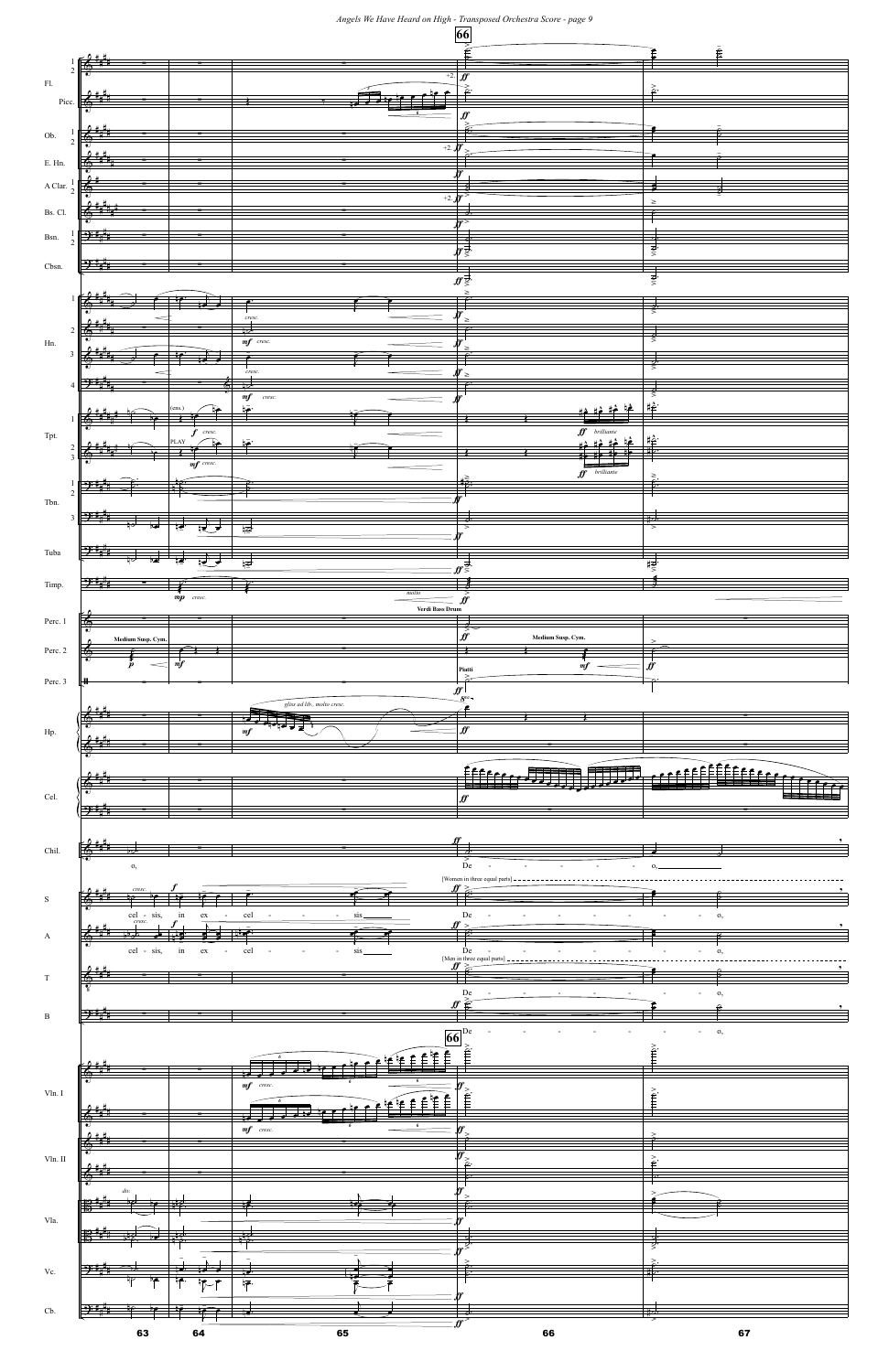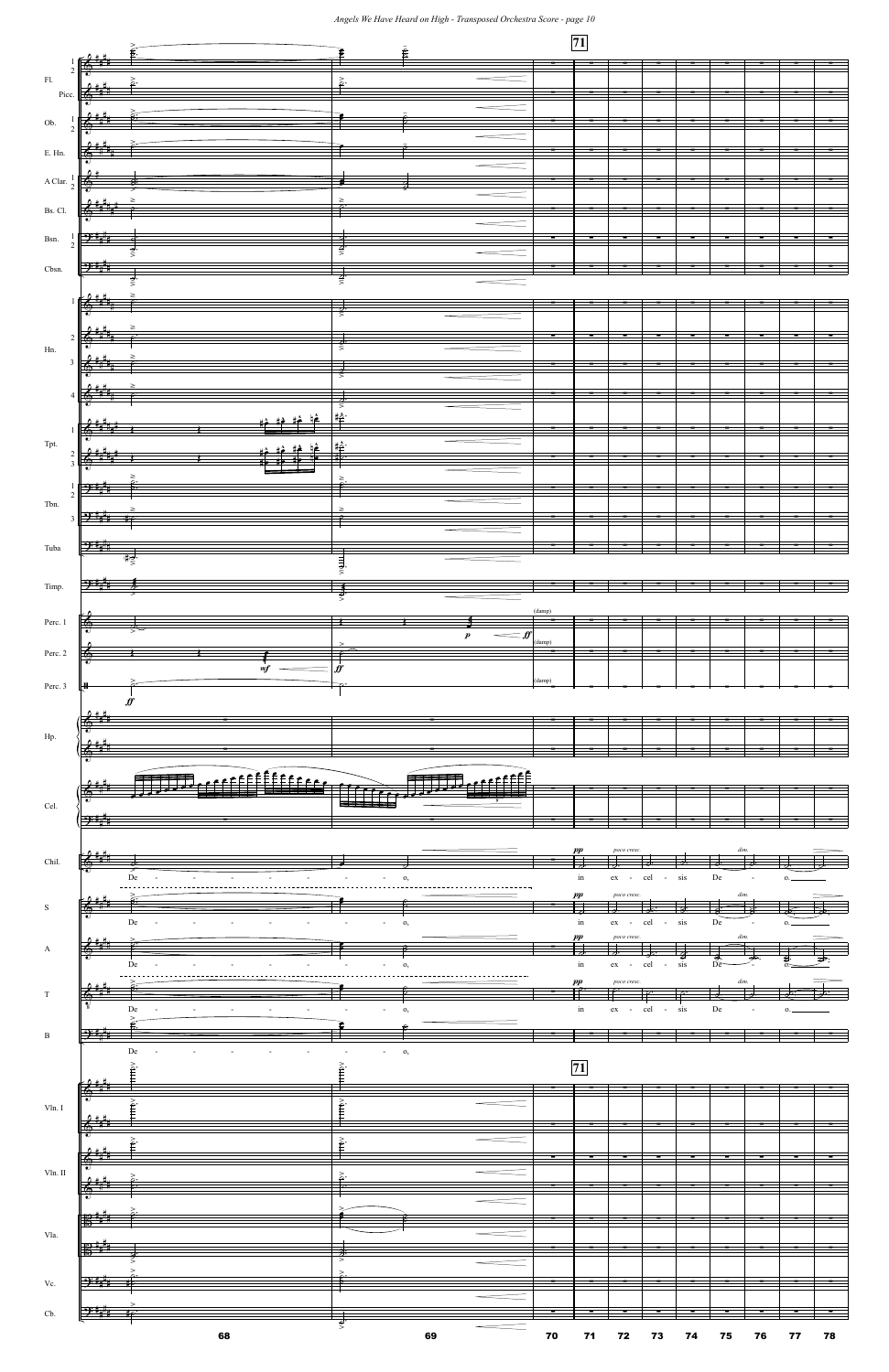